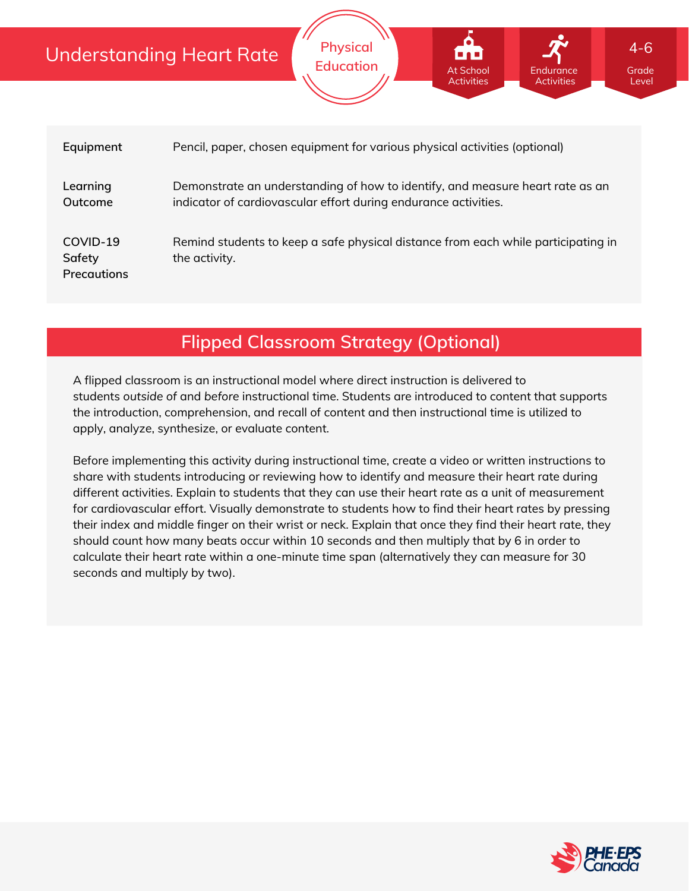### Understanding Heart Rate **Physical Education** Grade Level 4-6 At School Activities Endurance Activities

| Equipment                         | Pencil, paper, chosen equipment for various physical activities (optional)                                                                       |
|-----------------------------------|--------------------------------------------------------------------------------------------------------------------------------------------------|
| Learning<br>Outcome               | Demonstrate an understanding of how to identify, and measure heart rate as an<br>indicator of cardiovascular effort during endurance activities. |
| COVID-19<br>Safety<br>Precautions | Remind students to keep a safe physical distance from each while participating in<br>the activity.                                               |

**Flipped Classroom Strategy (Optional)**

A flipped classroom is an instructional model where direct instruction is delivered to students *outside of* and *before* instructional time. Students are introduced to content that supports the introduction, comprehension, and recall of content and then instructional time is utilized to apply, analyze, synthesize, or evaluate content.

Before implementing this activity during instructional time, create a video or written instructions to share with students introducing or reviewing how to identify and measure their heart rate during different activities. Explain to students that they can use their heart rate as a unit of measurement for cardiovascular effort. Visually demonstrate to students how to find their heart rates by pressing their index and middle finger on their wrist or neck. Explain that once they find their heart rate, they should count how many beats occur within 10 seconds and then multiply that by 6 in order to calculate their heart rate within a one-minute time span (alternatively they can measure for 30 seconds and multiply by two).

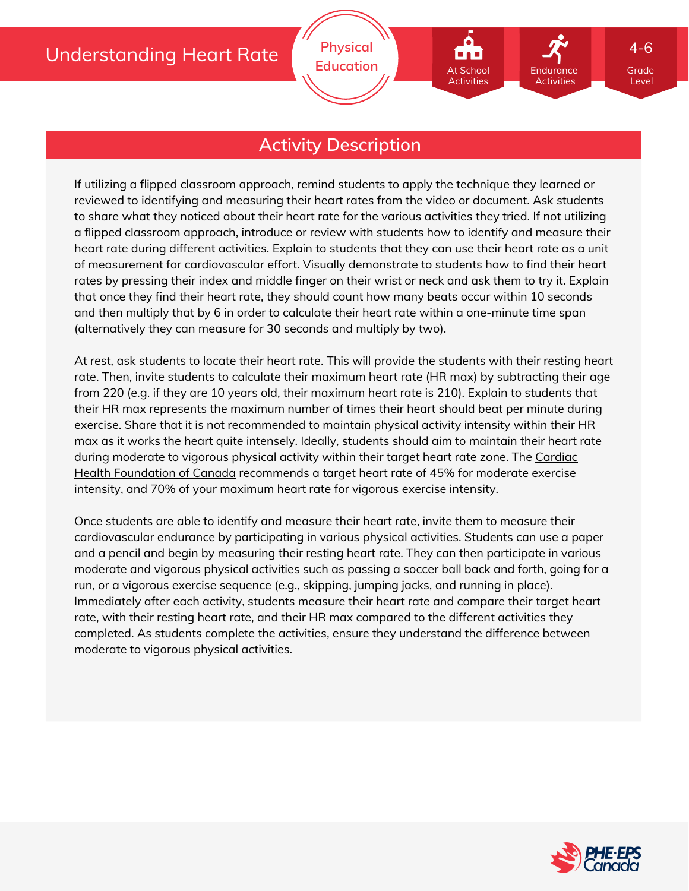At School Activities

Endurance Activities

## **Activity Description**

If utilizing a flipped classroom approach, remind students to apply the technique they learned or reviewed to identifying and measuring their heart rates from the video or document. Ask students to share what they noticed about their heart rate for the various activities they tried. If not utilizing a flipped classroom approach, introduce or review with students how to identify and measure their heart rate during different activities. Explain to students that they can use their heart rate as a unit of measurement for cardiovascular effort. Visually demonstrate to students how to find their heart rates by pressing their index and middle finger on their wrist or neck and ask them to try it. Explain that once they find their heart rate, they should count how many beats occur within 10 seconds and then multiply that by 6 in order to calculate their heart rate within a one-minute time span (alternatively they can measure for 30 seconds and multiply by two).

At rest, ask students to locate their heart rate. This will provide the students with their resting heart rate. Then, invite students to calculate their maximum heart rate (HR max) by subtracting their age from 220 (e.g. if they are 10 years old, their maximum heart rate is 210). Explain to students that their HR max represents the maximum number of times their heart should beat per minute during exercise. Share that it is not recommended to maintain physical activity intensity within their HR max as it works the heart quite intensely. Ideally, students should aim to maintain their heart rate during moderate to vigorous physical activity within their target heart rate zone. The Cardiac Health Foundation of Canada [recommends](http://www.cardiachealth.ca/articles/didyouknow28.html) a target heart rate of 45% for moderate exercise intensity, and 70% of your maximum heart rate for vigorous exercise intensity.

Once students are able to identify and measure their heart rate, invite them to measure their cardiovascular endurance by participating in various physical activities. Students can use a paper and a pencil and begin by measuring their resting heart rate. They can then participate in various moderate and vigorous physical activities such as passing a soccer ball back and forth, going for a run, or a vigorous exercise sequence (e.g., skipping, jumping jacks, and running in place). Immediately after each activity, students measure their heart rate and compare their target heart rate, with their resting heart rate, and their HR max compared to the different activities they completed. As students complete the activities, ensure they understand the difference between moderate to vigorous physical activities.



Grade Level

4-6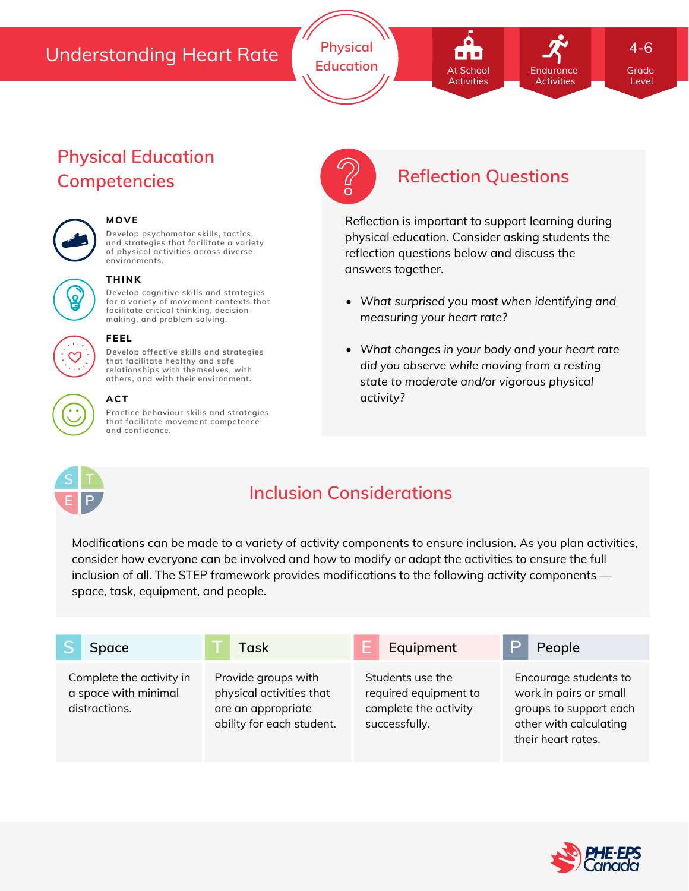## Understanding Heart Rate

**Physical Education At School Endurance** Grade

# **Physical Education Competencies Reflection Questions**



### **MOVE**

**Develop psychomotor skills, tactics, and strategies that facilitate a variety of physical activities across diverse environments.**



# **THINK**

**Develop cognitive skills and strategies for a variety of movement contexts that facilitate critical thinking, decision making, and problem solving.**



### **FEEL**

**Develop affective skills and strategies that facilitate healthy and safe relationships with themselves, with others, and with their environment.**



**Practice behaviour skills and strategies that facilitate movement competence and confidence.**

At School Activities Endurance Activities

Level

4-6

Reflection is important to support learning during physical education. Consider asking students the reflection questions below and discuss the answers together.

- *What surprised you most when identifying and measuring your heart rate?*
- *What changes in your body and your heart rate did you observe while moving from a resting state to moderate and/or vigorous physical activity?*



# **Inclusion Considerations**

Modifications can be made to a variety of activity components to ensure inclusion. As you plan activities, consider how everyone can be involved and how to modify or adapt the activities to ensure the full inclusion of all. The STEP framework provides modifications to the following activity components space, task, equipment, and people.

| Space                                                             | Task                                                                                               | Equipment                                                                           | People                                                                                                                    |
|-------------------------------------------------------------------|----------------------------------------------------------------------------------------------------|-------------------------------------------------------------------------------------|---------------------------------------------------------------------------------------------------------------------------|
| Complete the activity in<br>a space with minimal<br>distractions. | Provide groups with<br>physical activities that<br>are an appropriate<br>ability for each student. | Students use the<br>required equipment to<br>complete the activity<br>successfully. | Encourage students to<br>work in pairs or small<br>groups to support each<br>other with calculating<br>their heart rates. |